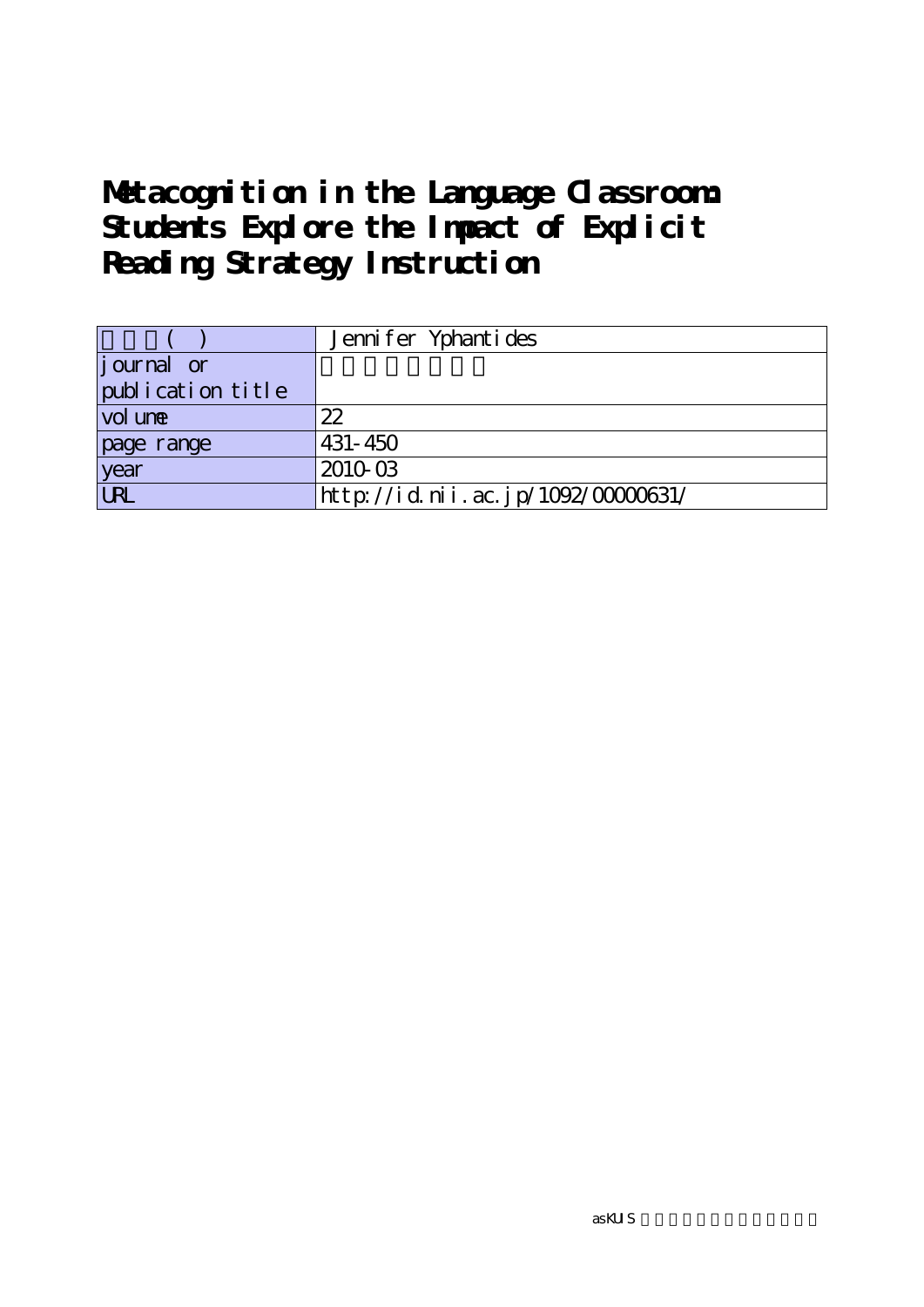# **Metacognition in the Language Classroom: Students Explore the Impact of Explicit Reading Strategy Instruction**

|                   | Jennifer Yphantides               |
|-------------------|-----------------------------------|
| journal or        |                                   |
| publication title |                                   |
| vol une           | 22                                |
| page range        | $431 - 450$                       |
| year              | 2010-03                           |
| URL               | http://id.nii.ac.jp/1092/0000631/ |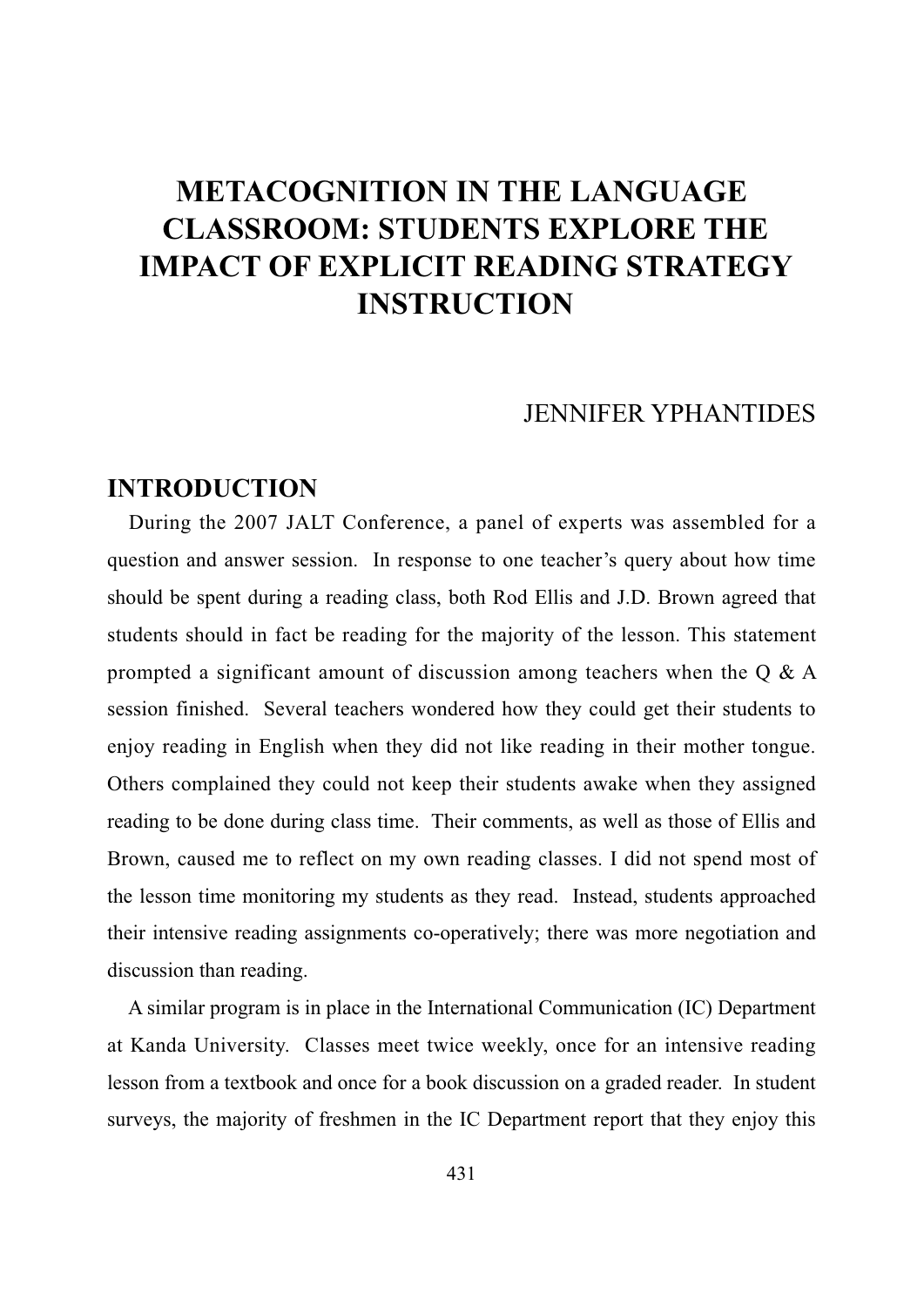## JENNIFER YPHANTIDES

## **INTRODUCTION**

During the 2007 JALT Conference, a panel of experts was assembled for a question and answer session. In response to one teacher's query about how time should be spent during a reading class, both Rod Ellis and J.D. Brown agreed that students should in fact be reading for the majority of the lesson. This statement prompted a significant amount of discussion among teachers when the Q & A session finished. Several teachers wondered how they could get their students to enjoy reading in English when they did not like reading in their mother tongue. Others complained they could not keep their students awake when they assigned reading to be done during class time. Their comments, as well as those of Ellis and Brown, caused me to reflect on my own reading classes. I did not spend most of the lesson time monitoring my students as they read. Instead, students approached their intensive reading assignments co-operatively; there was more negotiation and discussion than reading.

A similar program is in place in the International Communication (IC) Department at Kanda University. Classes meet twice weekly, once for an intensive reading lesson from a textbook and once for a book discussion on a graded reader. In student surveys, the majority of freshmen in the IC Department report that they enjoy this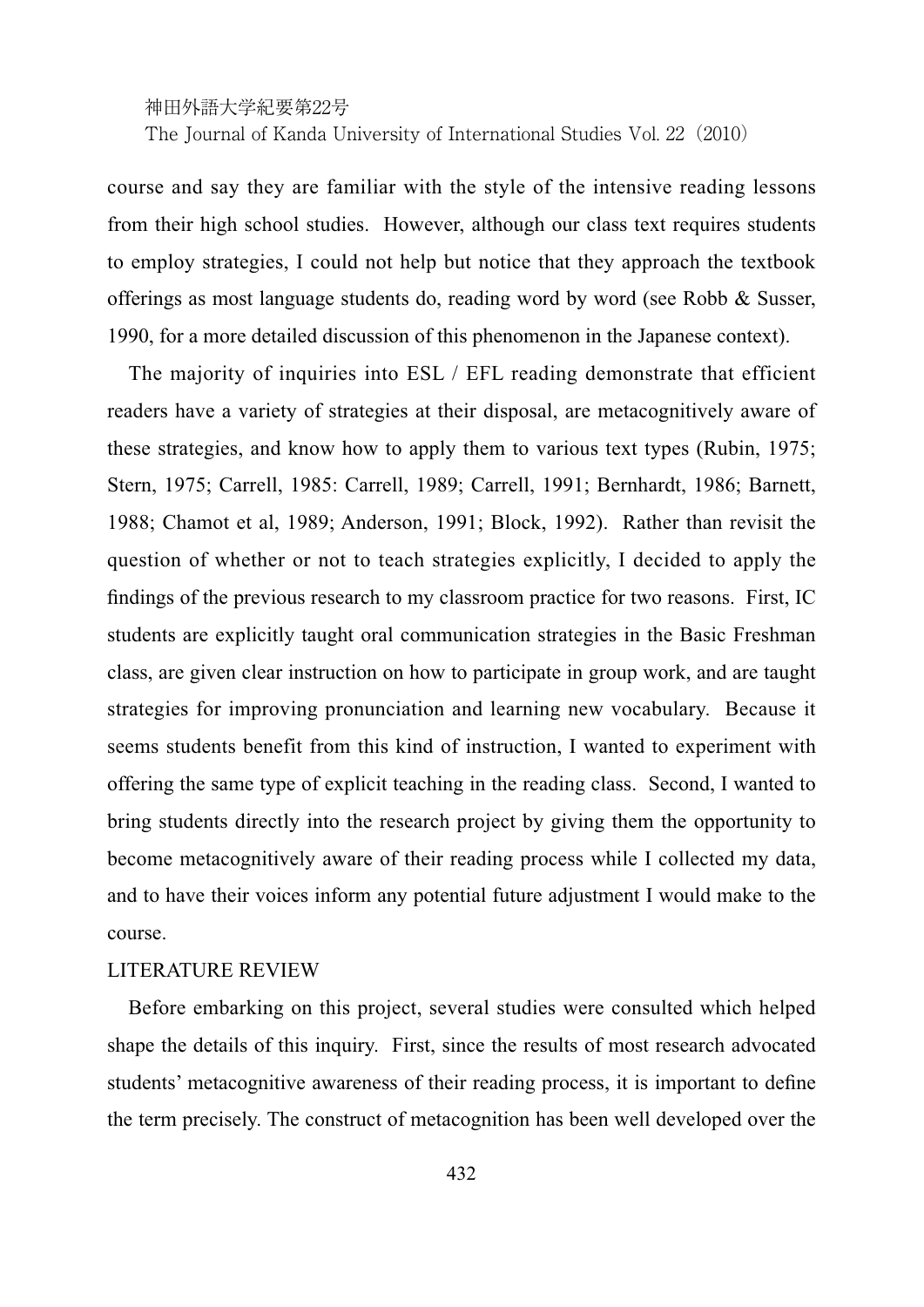神田外語大学紀要第22号

The Journal of Kanda University of International Studies Vol. 22 (2010)

course and say they are familiar with the style of the intensive reading lessons from their high school studies. However, although our class text requires students to employ strategies, I could not help but notice that they approach the textbook offerings as most language students do, reading word by word (see Robb & Susser, 1990, for a more detailed discussion of this phenomenon in the Japanese context).

The majority of inquiries into ESL / EFL reading demonstrate that efficient readers have a variety of strategies at their disposal, are metacognitively aware of these strategies, and know how to apply them to various text types (Rubin, 1975; Stern, 1975; Carrell, 1985: Carrell, 1989; Carrell, 1991; Bernhardt, 1986; Barnett, 1988; Chamot et al, 1989; Anderson, 1991; Block, 1992). Rather than revisit the question of whether or not to teach strategies explicitly, I decided to apply the findings of the previous research to my classroom practice for two reasons. First, IC students are explicitly taught oral communication strategies in the Basic Freshman class, are given clear instruction on how to participate in group work, and are taught strategies for improving pronunciation and learning new vocabulary. Because it seems students benefit from this kind of instruction, I wanted to experiment with offering the same type of explicit teaching in the reading class. Second, I wanted to bring students directly into the research project by giving them the opportunity to become metacognitively aware of their reading process while I collected my data, and to have their voices inform any potential future adjustment I would make to the course.

#### LITERATURE REVIEW

Before embarking on this project, several studies were consulted which helped shape the details of this inquiry. First, since the results of most research advocated students' metacognitive awareness of their reading process, it is important to define the term precisely. The construct of metacognition has been well developed over the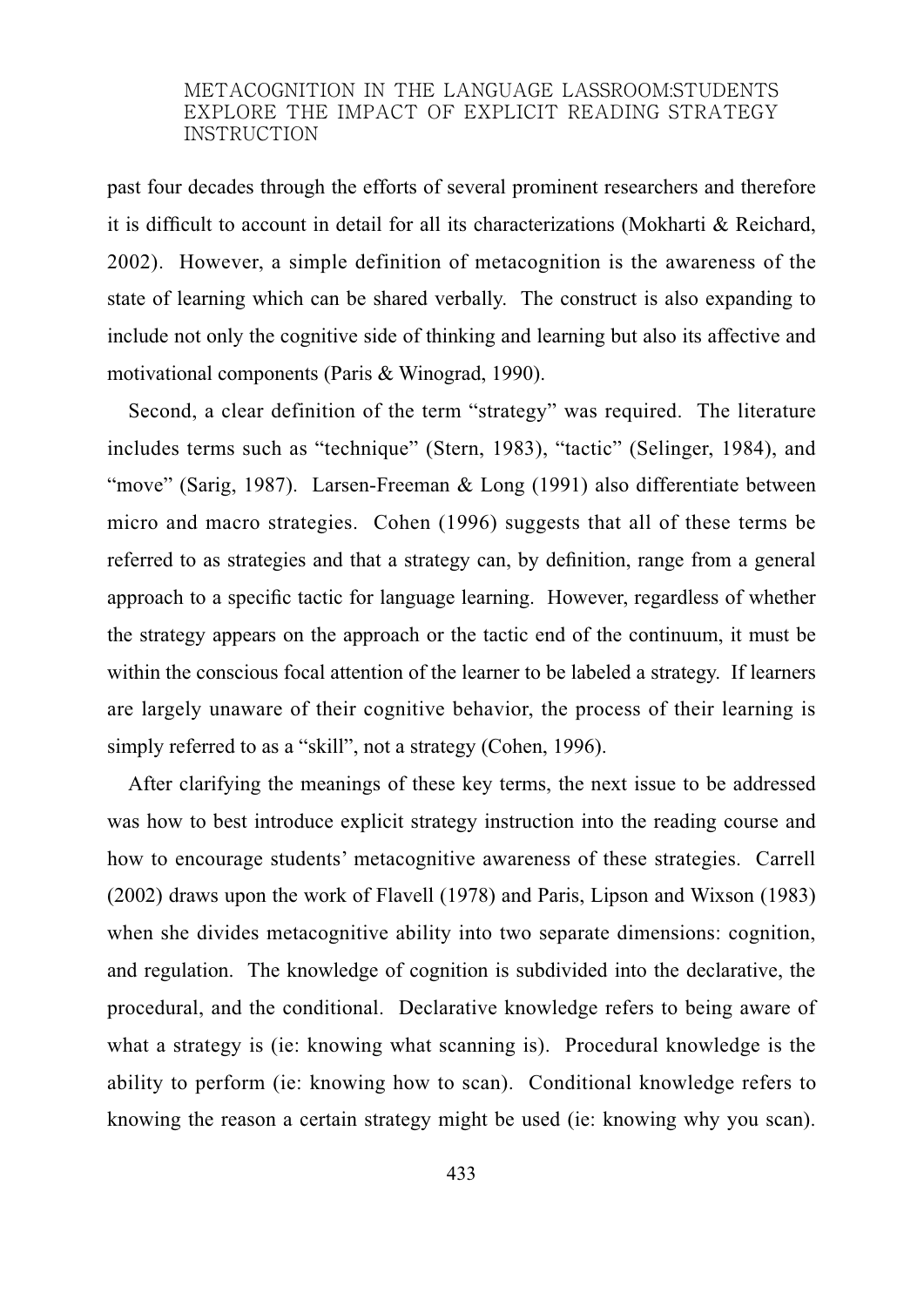past four decades through the efforts of several prominent researchers and therefore it is difficult to account in detail for all its characterizations (Mokharti & Reichard, 2002). However, a simple definition of metacognition is the awareness of the state of learning which can be shared verbally. The construct is also expanding to include not only the cognitive side of thinking and learning but also its affective and motivational components (Paris & Winograd, 1990).

Second, a clear definition of the term "strategy" was required. The literature includes terms such as "technique" (Stern, 1983), "tactic" (Selinger, 1984), and "move" (Sarig, 1987). Larsen-Freeman & Long (1991) also differentiate between micro and macro strategies. Cohen (1996) suggests that all of these terms be referred to as strategies and that a strategy can, by definition, range from a general approach to a specific tactic for language learning. However, regardless of whether the strategy appears on the approach or the tactic end of the continuum, it must be within the conscious focal attention of the learner to be labeled a strategy. If learners are largely unaware of their cognitive behavior, the process of their learning is simply referred to as a "skill", not a strategy (Cohen, 1996).

After clarifying the meanings of these key terms, the next issue to be addressed was how to best introduce explicit strategy instruction into the reading course and how to encourage students' metacognitive awareness of these strategies. Carrell (2002) draws upon the work of Flavell (1978) and Paris, Lipson and Wixson (1983) when she divides metacognitive ability into two separate dimensions: cognition, and regulation. The knowledge of cognition is subdivided into the declarative, the procedural, and the conditional. Declarative knowledge refers to being aware of what a strategy is (ie: knowing what scanning is). Procedural knowledge is the ability to perform (ie: knowing how to scan). Conditional knowledge refers to knowing the reason a certain strategy might be used (ie: knowing why you scan).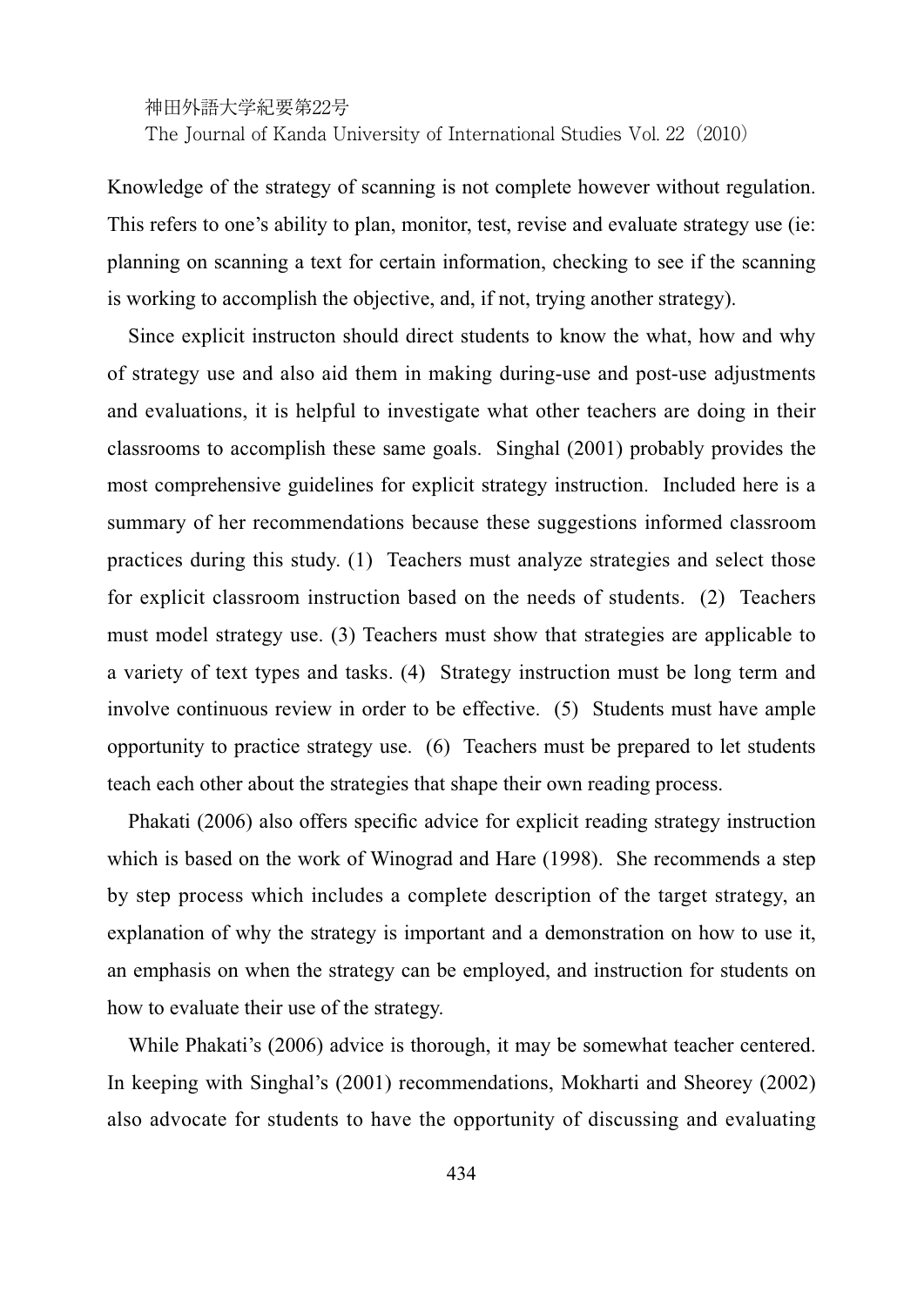Knowledge of the strategy of scanning is not complete however without regulation. This refers to one's ability to plan, monitor, test, revise and evaluate strategy use (ie: planning on scanning a text for certain information, checking to see if the scanning is working to accomplish the objective, and, if not, trying another strategy).

Since explicit instructon should direct students to know the what, how and why of strategy use and also aid them in making during-use and post-use adjustments and evaluations, it is helpful to investigate what other teachers are doing in their classrooms to accomplish these same goals. Singhal (2001) probably provides the most comprehensive guidelines for explicit strategy instruction. Included here is a summary of her recommendations because these suggestions informed classroom practices during this study. (1) Teachers must analyze strategies and select those for explicit classroom instruction based on the needs of students. (2) Teachers must model strategy use. (3) Teachers must show that strategies are applicable to a variety of text types and tasks. (4) Strategy instruction must be long term and involve continuous review in order to be effective. (5) Students must have ample opportunity to practice strategy use. (6) Teachers must be prepared to let students teach each other about the strategies that shape their own reading process.

Phakati (2006) also offers specific advice for explicit reading strategy instruction which is based on the work of Winograd and Hare (1998). She recommends a step by step process which includes a complete description of the target strategy, an explanation of why the strategy is important and a demonstration on how to use it, an emphasis on when the strategy can be employed, and instruction for students on how to evaluate their use of the strategy.

While Phakati's (2006) advice is thorough, it may be somewhat teacher centered. In keeping with Singhal's (2001) recommendations, Mokharti and Sheorey (2002) also advocate for students to have the opportunity of discussing and evaluating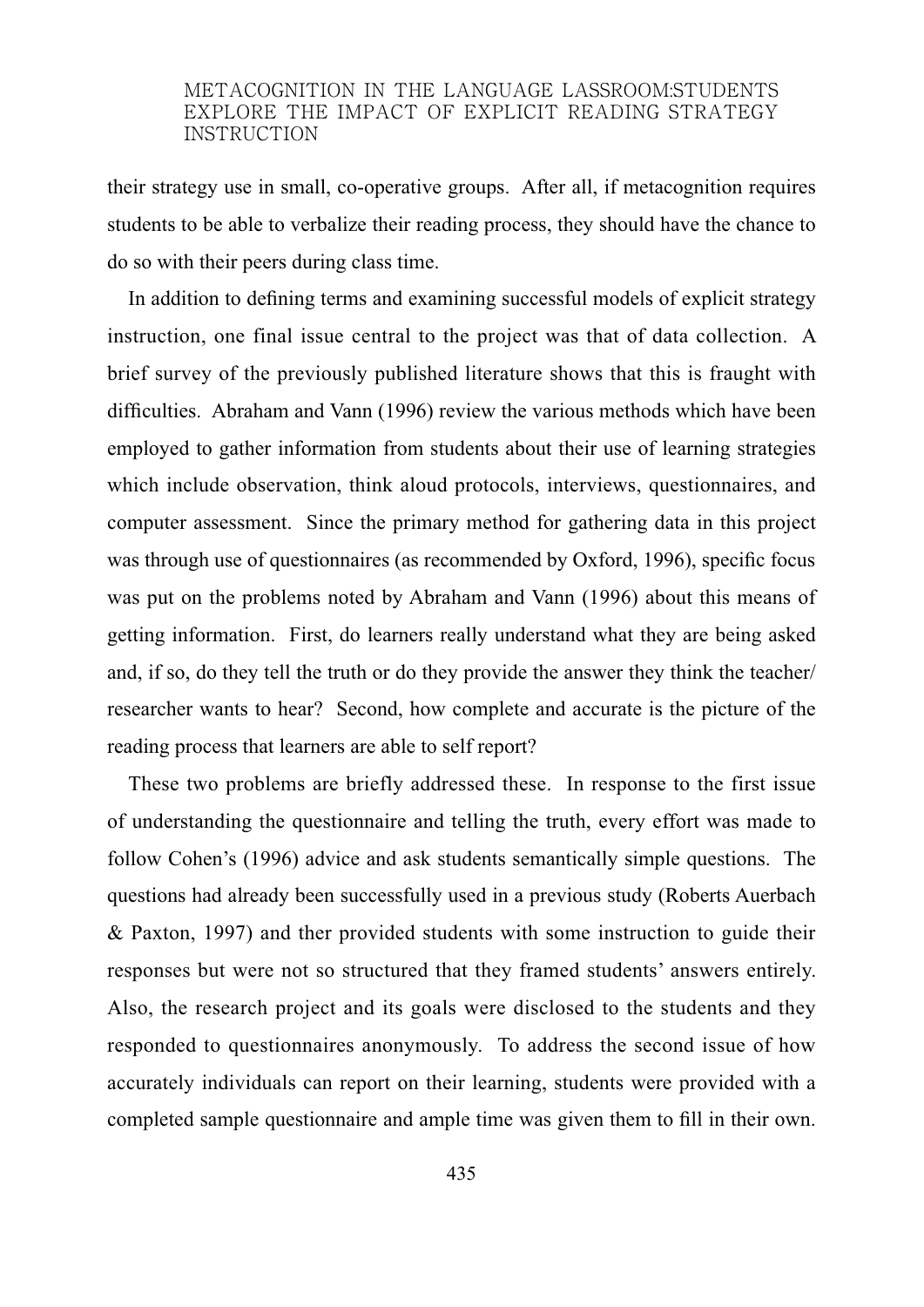their strategy use in small, co-operative groups. After all, if metacognition requires students to be able to verbalize their reading process, they should have the chance to do so with their peers during class time.

In addition to defining terms and examining successful models of explicit strategy instruction, one final issue central to the project was that of data collection. A brief survey of the previously published literature shows that this is fraught with difficulties. Abraham and Vann (1996) review the various methods which have been employed to gather information from students about their use of learning strategies which include observation, think aloud protocols, interviews, questionnaires, and computer assessment. Since the primary method for gathering data in this project was through use of questionnaires (as recommended by Oxford, 1996), specific focus was put on the problems noted by Abraham and Vann (1996) about this means of getting information. First, do learners really understand what they are being asked and, if so, do they tell the truth or do they provide the answer they think the teacher/ researcher wants to hear? Second, how complete and accurate is the picture of the reading process that learners are able to self report?

These two problems are briefly addressed these. In response to the first issue of understanding the questionnaire and telling the truth, every effort was made to follow Cohen's (1996) advice and ask students semantically simple questions. The questions had already been successfully used in a previous study (Roberts Auerbach & Paxton, 1997) and ther provided students with some instruction to guide their responses but were not so structured that they framed students' answers entirely. Also, the research project and its goals were disclosed to the students and they responded to questionnaires anonymously. To address the second issue of how accurately individuals can report on their learning, students were provided with a completed sample questionnaire and ample time was given them to fill in their own.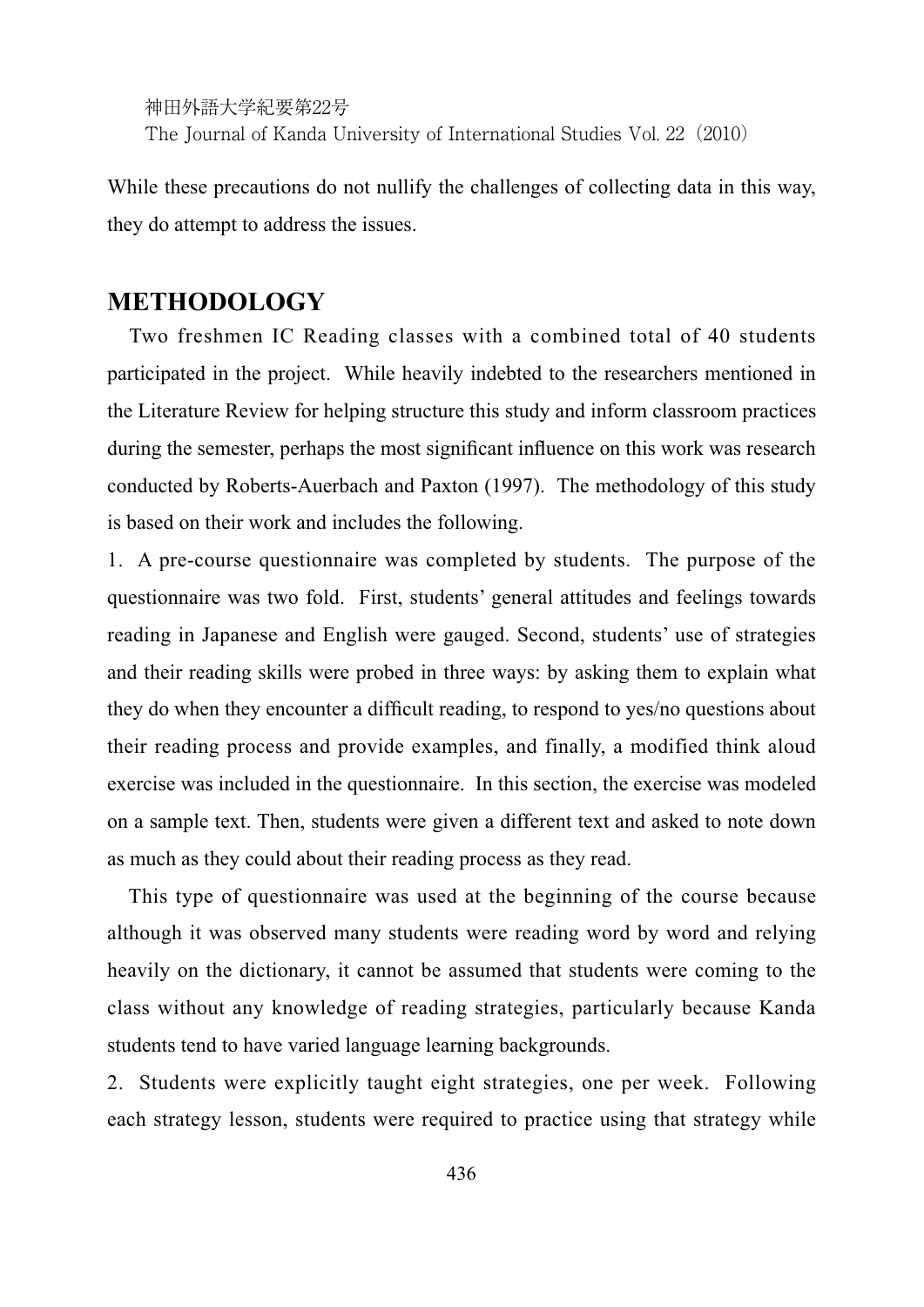While these precautions do not nullify the challenges of collecting data in this way, they do attempt to address the issues.

## **METHODOLOGY**

Two freshmen IC Reading classes with a combined total of 40 students participated in the project. While heavily indebted to the researchers mentioned in the Literature Review for helping structure this study and inform classroom practices during the semester, perhaps the most significant influence on this work was research conducted by Roberts-Auerbach and Paxton (1997). The methodology of this study is based on their work and includes the following.

1. A pre-course questionnaire was completed by students. The purpose of the questionnaire was two fold. First, students' general attitudes and feelings towards reading in Japanese and English were gauged. Second, students' use of strategies and their reading skills were probed in three ways: by asking them to explain what they do when they encounter a difficult reading, to respond to yes/no questions about their reading process and provide examples, and finally, a modified think aloud exercise was included in the questionnaire. In this section, the exercise was modeled on a sample text. Then, students were given a different text and asked to note down as much as they could about their reading process as they read.

This type of questionnaire was used at the beginning of the course because although it was observed many students were reading word by word and relying heavily on the dictionary, it cannot be assumed that students were coming to the class without any knowledge of reading strategies, particularly because Kanda students tend to have varied language learning backgrounds.

2. Students were explicitly taught eight strategies, one per week. Following each strategy lesson, students were required to practice using that strategy while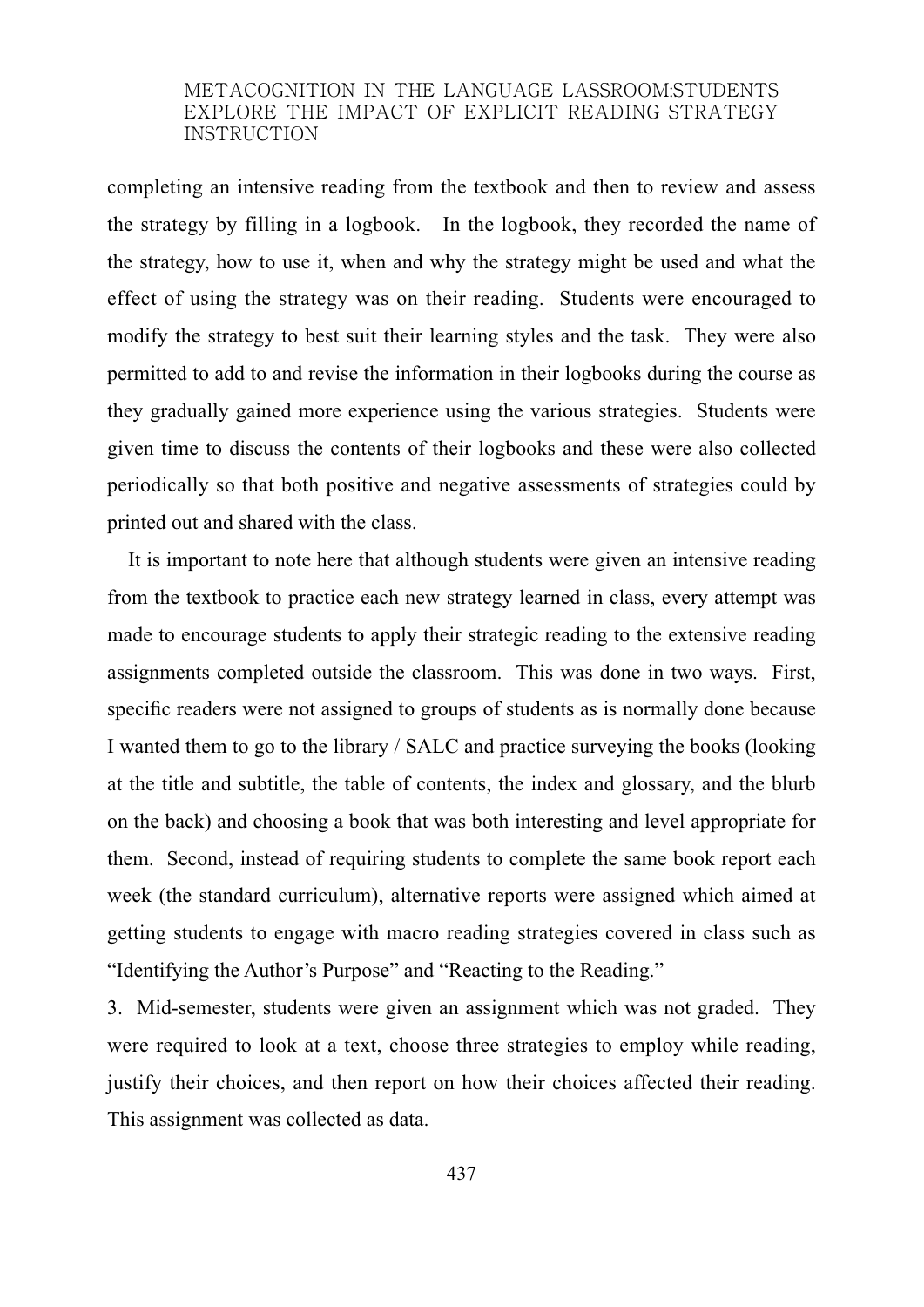completing an intensive reading from the textbook and then to review and assess the strategy by filling in a logbook. In the logbook, they recorded the name of the strategy, how to use it, when and why the strategy might be used and what the effect of using the strategy was on their reading. Students were encouraged to modify the strategy to best suit their learning styles and the task. They were also permitted to add to and revise the information in their logbooks during the course as they gradually gained more experience using the various strategies. Students were given time to discuss the contents of their logbooks and these were also collected periodically so that both positive and negative assessments of strategies could by printed out and shared with the class.

It is important to note here that although students were given an intensive reading from the textbook to practice each new strategy learned in class, every attempt was made to encourage students to apply their strategic reading to the extensive reading assignments completed outside the classroom. This was done in two ways. First, specific readers were not assigned to groups of students as is normally done because I wanted them to go to the library / SALC and practice surveying the books (looking at the title and subtitle, the table of contents, the index and glossary, and the blurb on the back) and choosing a book that was both interesting and level appropriate for them. Second, instead of requiring students to complete the same book report each week (the standard curriculum), alternative reports were assigned which aimed at getting students to engage with macro reading strategies covered in class such as "Identifying the Author's Purpose" and "Reacting to the Reading."

3. Mid-semester, students were given an assignment which was not graded. They were required to look at a text, choose three strategies to employ while reading, justify their choices, and then report on how their choices affected their reading. This assignment was collected as data.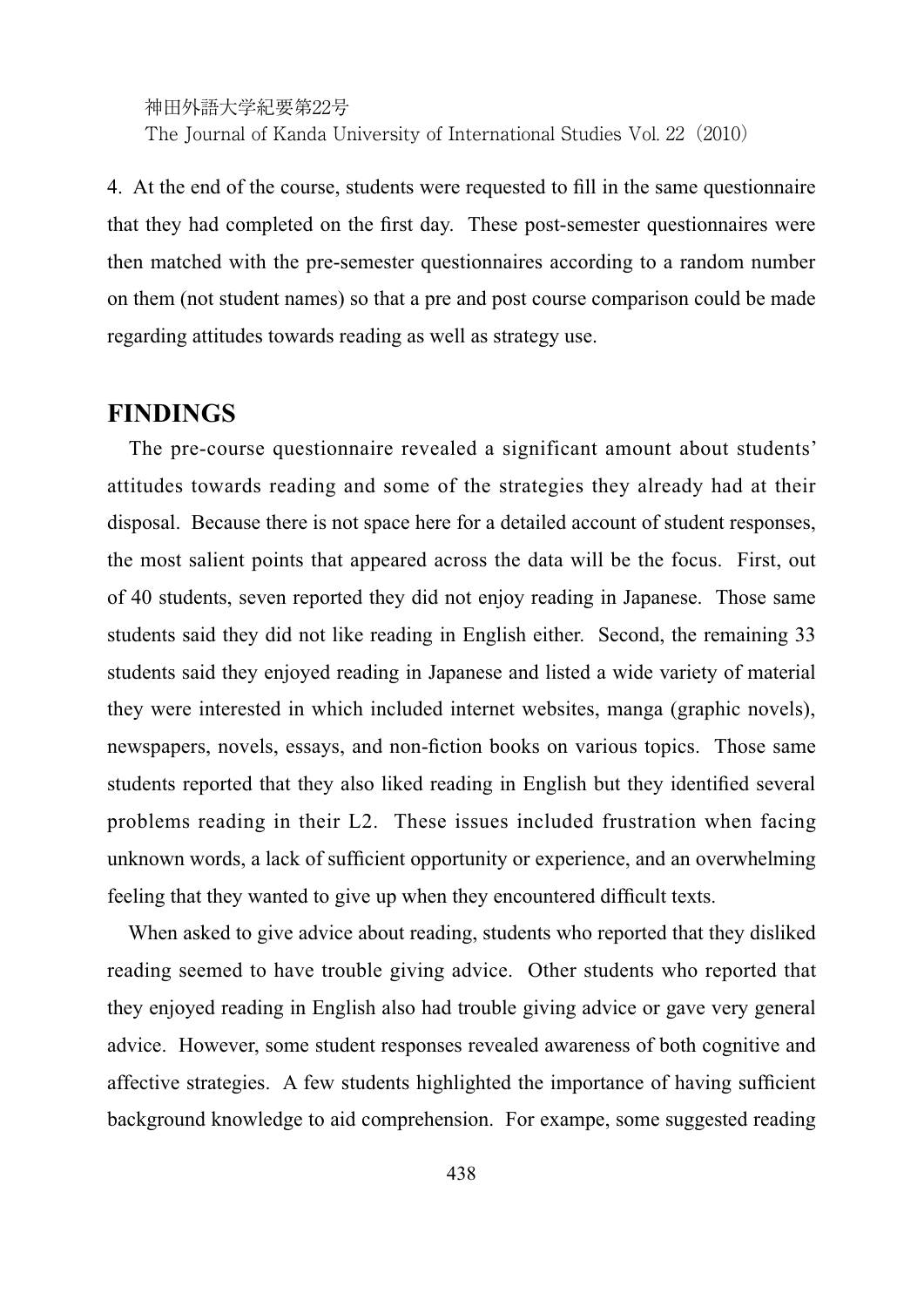4. At the end of the course, students were requested to fill in the same questionnaire that they had completed on the first day. These post-semester questionnaires were then matched with the pre-semester questionnaires according to a random number on them (not student names) so that a pre and post course comparison could be made regarding attitudes towards reading as well as strategy use.

## **FINDINGS**

The pre-course questionnaire revealed a significant amount about students' attitudes towards reading and some of the strategies they already had at their disposal. Because there is not space here for a detailed account of student responses, the most salient points that appeared across the data will be the focus. First, out of 40 students, seven reported they did not enjoy reading in Japanese. Those same students said they did not like reading in English either. Second, the remaining 33 students said they enjoyed reading in Japanese and listed a wide variety of material they were interested in which included internet websites, manga (graphic novels), newspapers, novels, essays, and non-fiction books on various topics. Those same students reported that they also liked reading in English but they identified several problems reading in their L2. These issues included frustration when facing unknown words, a lack of sufficient opportunity or experience, and an overwhelming feeling that they wanted to give up when they encountered difficult texts.

When asked to give advice about reading, students who reported that they disliked reading seemed to have trouble giving advice. Other students who reported that they enjoyed reading in English also had trouble giving advice or gave very general advice. However, some student responses revealed awareness of both cognitive and affective strategies. A few students highlighted the importance of having sufficient background knowledge to aid comprehension. For exampe, some suggested reading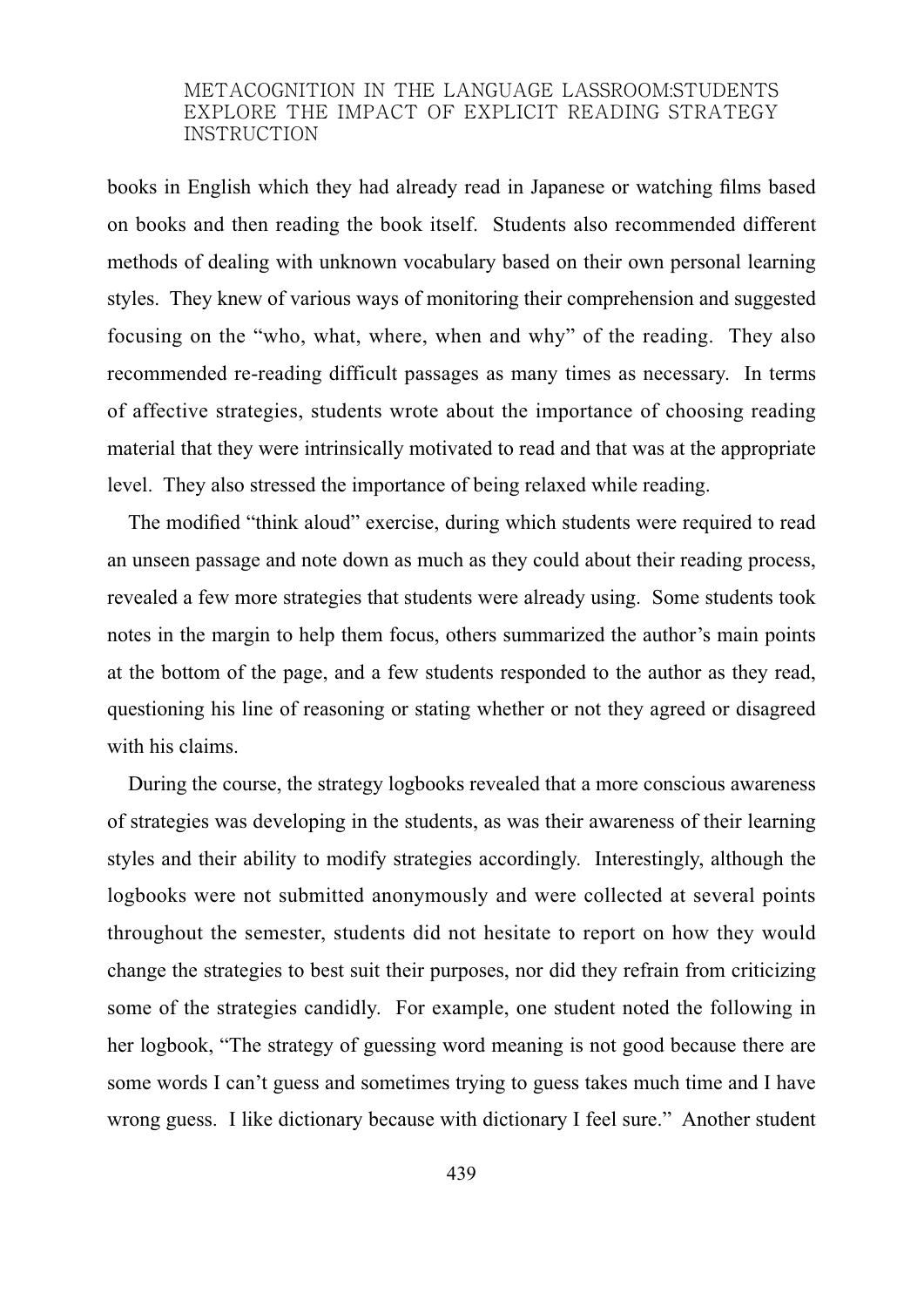books in English which they had already read in Japanese or watching films based on books and then reading the book itself. Students also recommended different methods of dealing with unknown vocabulary based on their own personal learning styles. They knew of various ways of monitoring their comprehension and suggested focusing on the "who, what, where, when and why" of the reading. They also recommended re-reading difficult passages as many times as necessary. In terms of affective strategies, students wrote about the importance of choosing reading material that they were intrinsically motivated to read and that was at the appropriate level. They also stressed the importance of being relaxed while reading.

The modified "think aloud" exercise, during which students were required to read an unseen passage and note down as much as they could about their reading process, revealed a few more strategies that students were already using. Some students took notes in the margin to help them focus, others summarized the author's main points at the bottom of the page, and a few students responded to the author as they read, questioning his line of reasoning or stating whether or not they agreed or disagreed with his claims.

During the course, the strategy logbooks revealed that a more conscious awareness of strategies was developing in the students, as was their awareness of their learning styles and their ability to modify strategies accordingly. Interestingly, although the logbooks were not submitted anonymously and were collected at several points throughout the semester, students did not hesitate to report on how they would change the strategies to best suit their purposes, nor did they refrain from criticizing some of the strategies candidly. For example, one student noted the following in her logbook, "The strategy of guessing word meaning is not good because there are some words I can't guess and sometimes trying to guess takes much time and I have wrong guess. I like dictionary because with dictionary I feel sure." Another student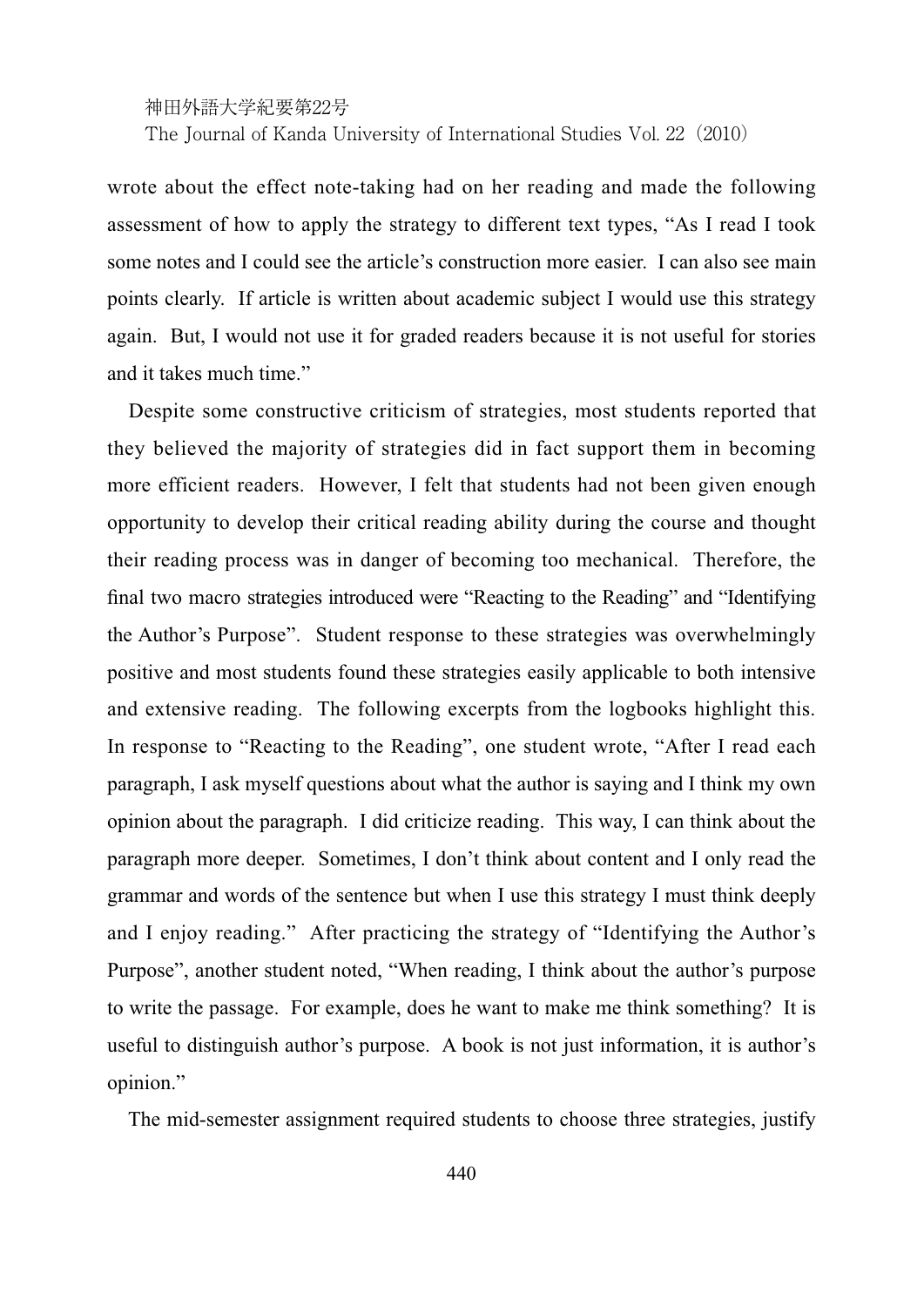神田外語大学紀要第22号

The Journal of Kanda University of International Studies Vol. 22 (2010)

wrote about the effect note-taking had on her reading and made the following assessment of how to apply the strategy to different text types, "As I read I took some notes and I could see the article's construction more easier. I can also see main points clearly. If article is written about academic subject I would use this strategy again. But, I would not use it for graded readers because it is not useful for stories and it takes much time."

Despite some constructive criticism of strategies, most students reported that they believed the majority of strategies did in fact support them in becoming more efficient readers. However, I felt that students had not been given enough opportunity to develop their critical reading ability during the course and thought their reading process was in danger of becoming too mechanical. Therefore, the final two macro strategies introduced were "Reacting to the Reading" and "Identifying the Author's Purpose". Student response to these strategies was overwhelmingly positive and most students found these strategies easily applicable to both intensive and extensive reading. The following excerpts from the logbooks highlight this. In response to "Reacting to the Reading", one student wrote, "After I read each paragraph, I ask myself questions about what the author is saying and I think my own opinion about the paragraph. I did criticize reading. This way, I can think about the paragraph more deeper. Sometimes, I don't think about content and I only read the grammar and words of the sentence but when I use this strategy I must think deeply and I enjoy reading." After practicing the strategy of "Identifying the Author's Purpose", another student noted, "When reading, I think about the author's purpose to write the passage. For example, does he want to make me think something? It is useful to distinguish author's purpose. A book is not just information, it is author's opinion."

The mid-semester assignment required students to choose three strategies, justify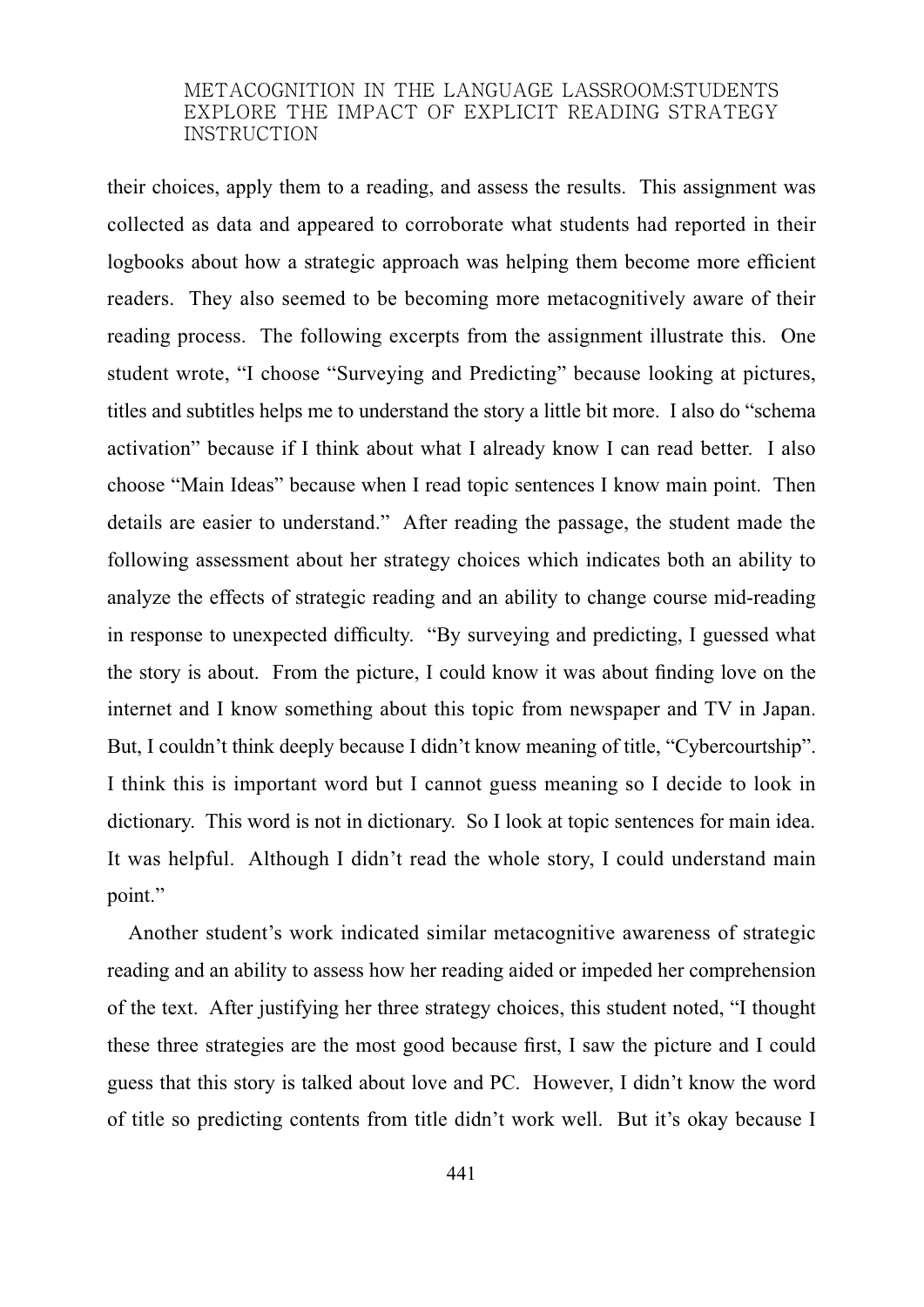their choices, apply them to a reading, and assess the results. This assignment was collected as data and appeared to corroborate what students had reported in their logbooks about how a strategic approach was helping them become more efficient readers. They also seemed to be becoming more metacognitively aware of their reading process. The following excerpts from the assignment illustrate this. One student wrote, "I choose "Surveying and Predicting" because looking at pictures, titles and subtitles helps me to understand the story a little bit more. I also do "schema activation" because if I think about what I already know I can read better. I also choose "Main Ideas" because when I read topic sentences I know main point. Then details are easier to understand." After reading the passage, the student made the following assessment about her strategy choices which indicates both an ability to analyze the effects of strategic reading and an ability to change course mid-reading in response to unexpected difficulty. "By surveying and predicting, I guessed what the story is about. From the picture, I could know it was about finding love on the internet and I know something about this topic from newspaper and TV in Japan. But, I couldn't think deeply because I didn't know meaning of title, "Cybercourtship". I think this is important word but I cannot guess meaning so I decide to look in dictionary. This word is not in dictionary. So I look at topic sentences for main idea. It was helpful. Although I didn't read the whole story, I could understand main point."

Another student's work indicated similar metacognitive awareness of strategic reading and an ability to assess how her reading aided or impeded her comprehension of the text. After justifying her three strategy choices, this student noted, "I thought these three strategies are the most good because first, I saw the picture and I could guess that this story is talked about love and PC. However, I didn't know the word of title so predicting contents from title didn't work well. But it's okay because I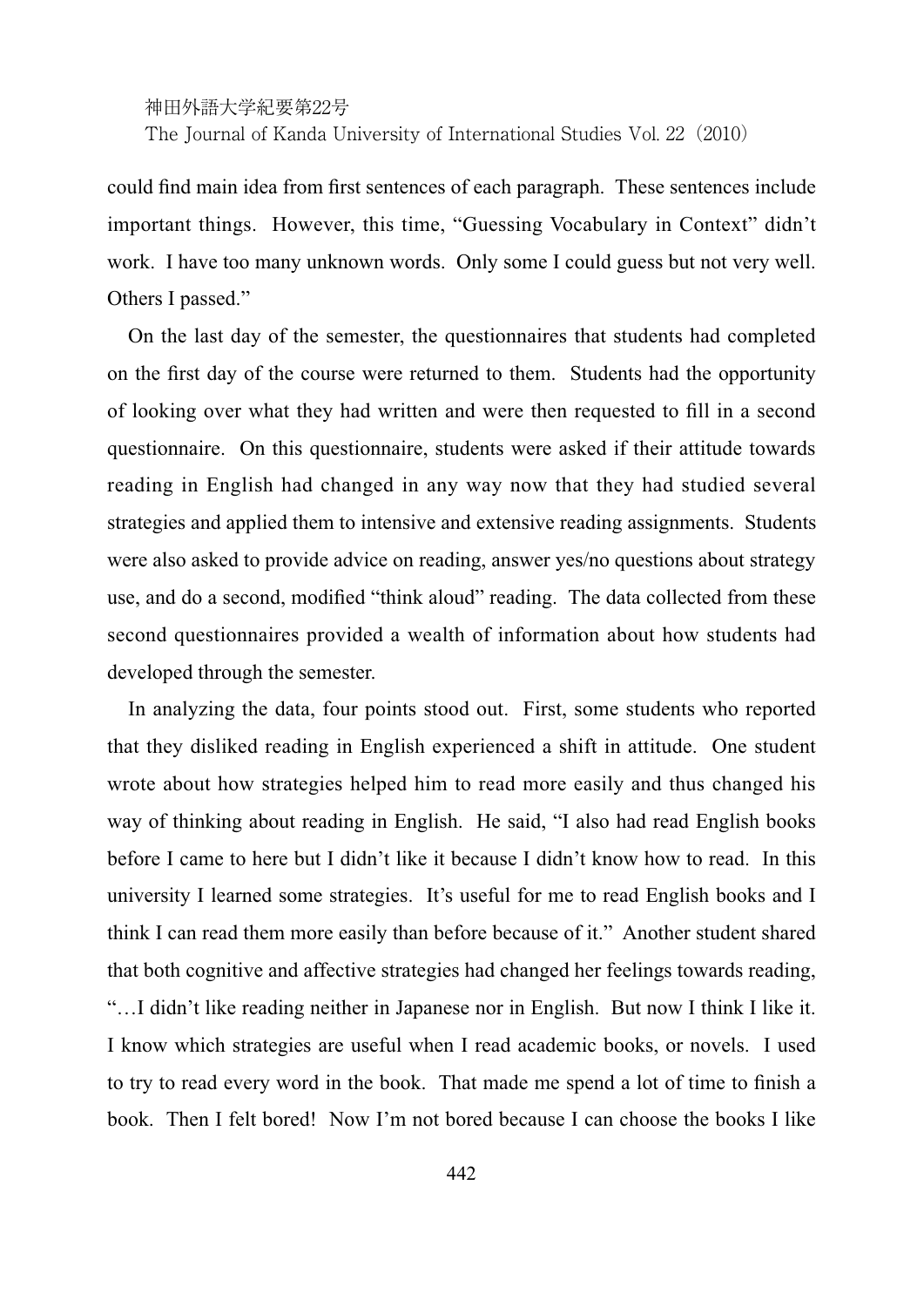神田外語大学紀要第22号

The Journal of Kanda University of International Studies Vol. 22 (2010)

could find main idea from first sentences of each paragraph. These sentences include important things. However, this time, "Guessing Vocabulary in Context" didn't work. I have too many unknown words. Only some I could guess but not very well. Others I passed."

On the last day of the semester, the questionnaires that students had completed on the first day of the course were returned to them. Students had the opportunity of looking over what they had written and were then requested to fill in a second questionnaire. On this questionnaire, students were asked if their attitude towards reading in English had changed in any way now that they had studied several strategies and applied them to intensive and extensive reading assignments. Students were also asked to provide advice on reading, answer yes/no questions about strategy use, and do a second, modified "think aloud" reading. The data collected from these second questionnaires provided a wealth of information about how students had developed through the semester.

In analyzing the data, four points stood out. First, some students who reported that they disliked reading in English experienced a shift in attitude. One student wrote about how strategies helped him to read more easily and thus changed his way of thinking about reading in English. He said, "I also had read English books before I came to here but I didn't like it because I didn't know how to read. In this university I learned some strategies. It's useful for me to read English books and I think I can read them more easily than before because of it." Another student shared that both cognitive and affective strategies had changed her feelings towards reading, "…I didn't like reading neither in Japanese nor in English. But now I think I like it. I know which strategies are useful when I read academic books, or novels. I used to try to read every word in the book. That made me spend a lot of time to finish a book. Then I felt bored! Now I'm not bored because I can choose the books I like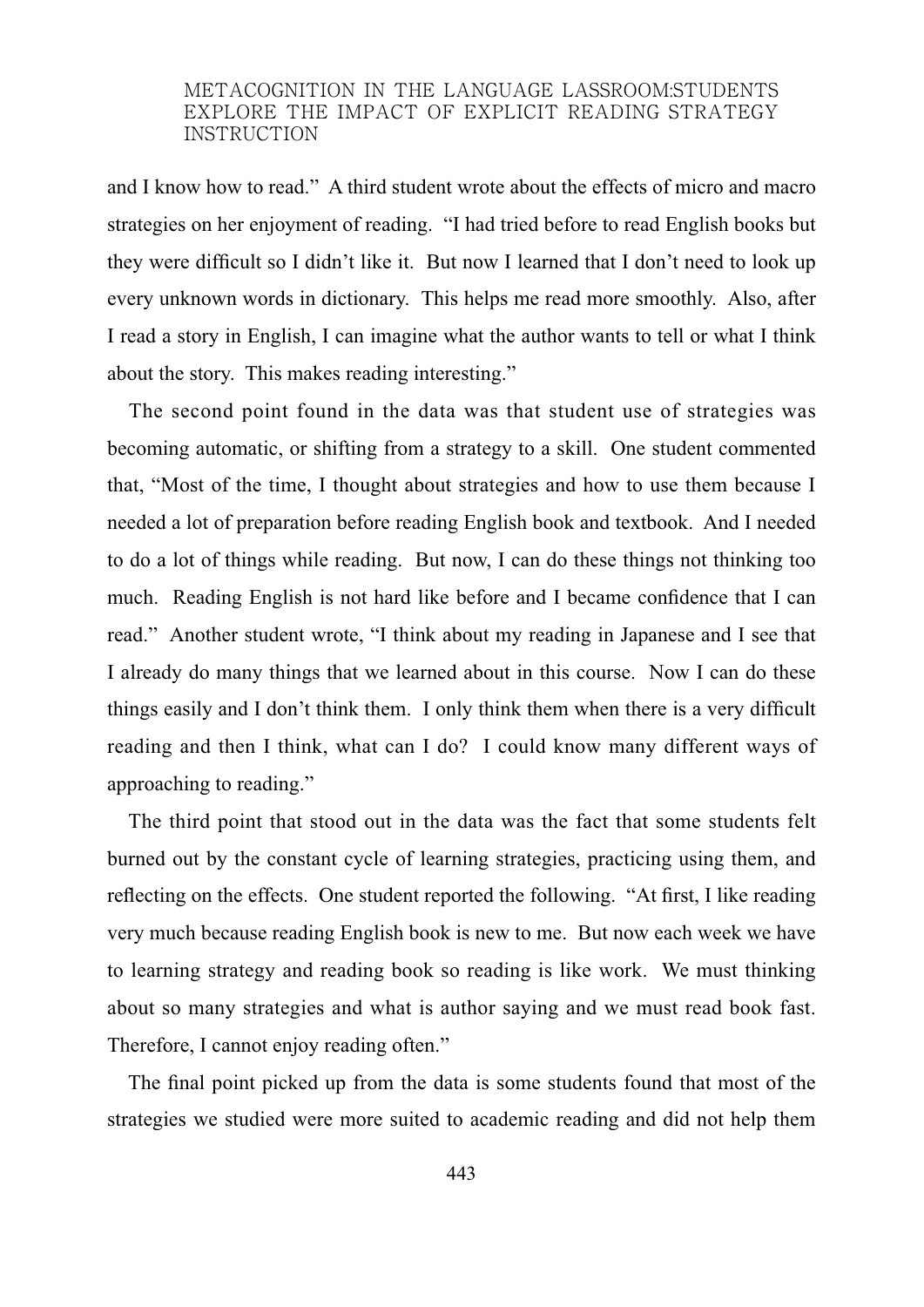and I know how to read." A third student wrote about the effects of micro and macro strategies on her enjoyment of reading. "I had tried before to read English books but they were difficult so I didn't like it. But now I learned that I don't need to look up every unknown words in dictionary. This helps me read more smoothly. Also, after I read a story in English, I can imagine what the author wants to tell or what I think about the story. This makes reading interesting."

The second point found in the data was that student use of strategies was becoming automatic, or shifting from a strategy to a skill. One student commented that, "Most of the time, I thought about strategies and how to use them because I needed a lot of preparation before reading English book and textbook. And I needed to do a lot of things while reading. But now, I can do these things not thinking too much. Reading English is not hard like before and I became confidence that I can read." Another student wrote, "I think about my reading in Japanese and I see that I already do many things that we learned about in this course. Now I can do these things easily and I don't think them. I only think them when there is a very difficult reading and then I think, what can I do? I could know many different ways of approaching to reading."

The third point that stood out in the data was the fact that some students felt burned out by the constant cycle of learning strategies, practicing using them, and reflecting on the effects. One student reported the following. "At first, I like reading very much because reading English book is new to me. But now each week we have to learning strategy and reading book so reading is like work. We must thinking about so many strategies and what is author saying and we must read book fast. Therefore, I cannot enjoy reading often."

The final point picked up from the data is some students found that most of the strategies we studied were more suited to academic reading and did not help them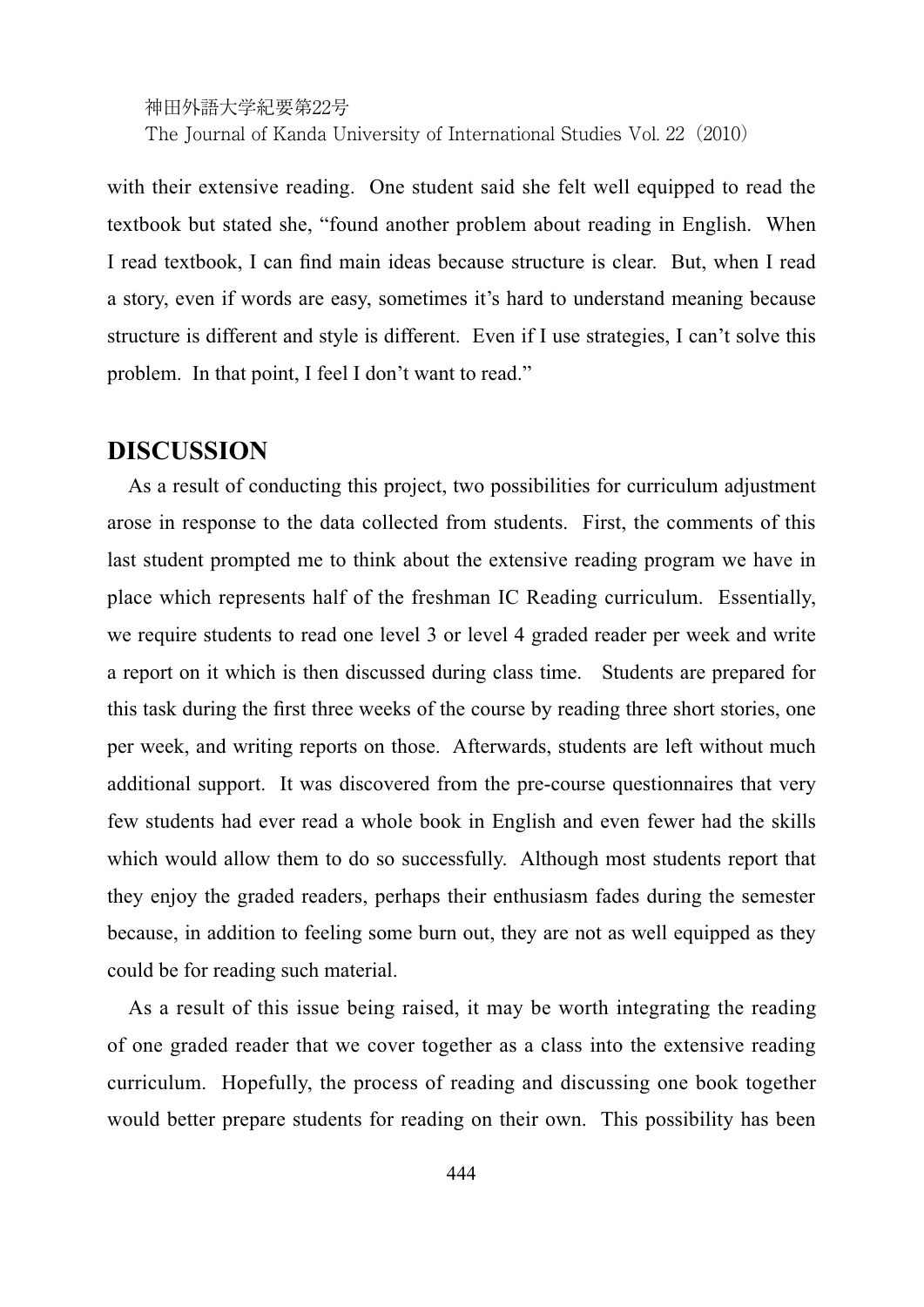with their extensive reading. One student said she felt well equipped to read the textbook but stated she, "found another problem about reading in English. When I read textbook, I can find main ideas because structure is clear. But, when I read a story, even if words are easy, sometimes it's hard to understand meaning because structure is different and style is different. Even if I use strategies, I can't solve this problem. In that point, I feel I don't want to read."

## **DISCUSSION**

As a result of conducting this project, two possibilities for curriculum adjustment arose in response to the data collected from students. First, the comments of this last student prompted me to think about the extensive reading program we have in place which represents half of the freshman IC Reading curriculum. Essentially, we require students to read one level 3 or level 4 graded reader per week and write a report on it which is then discussed during class time. Students are prepared for this task during the first three weeks of the course by reading three short stories, one per week, and writing reports on those. Afterwards, students are left without much additional support. It was discovered from the pre-course questionnaires that very few students had ever read a whole book in English and even fewer had the skills which would allow them to do so successfully. Although most students report that they enjoy the graded readers, perhaps their enthusiasm fades during the semester because, in addition to feeling some burn out, they are not as well equipped as they could be for reading such material.

As a result of this issue being raised, it may be worth integrating the reading of one graded reader that we cover together as a class into the extensive reading curriculum. Hopefully, the process of reading and discussing one book together would better prepare students for reading on their own. This possibility has been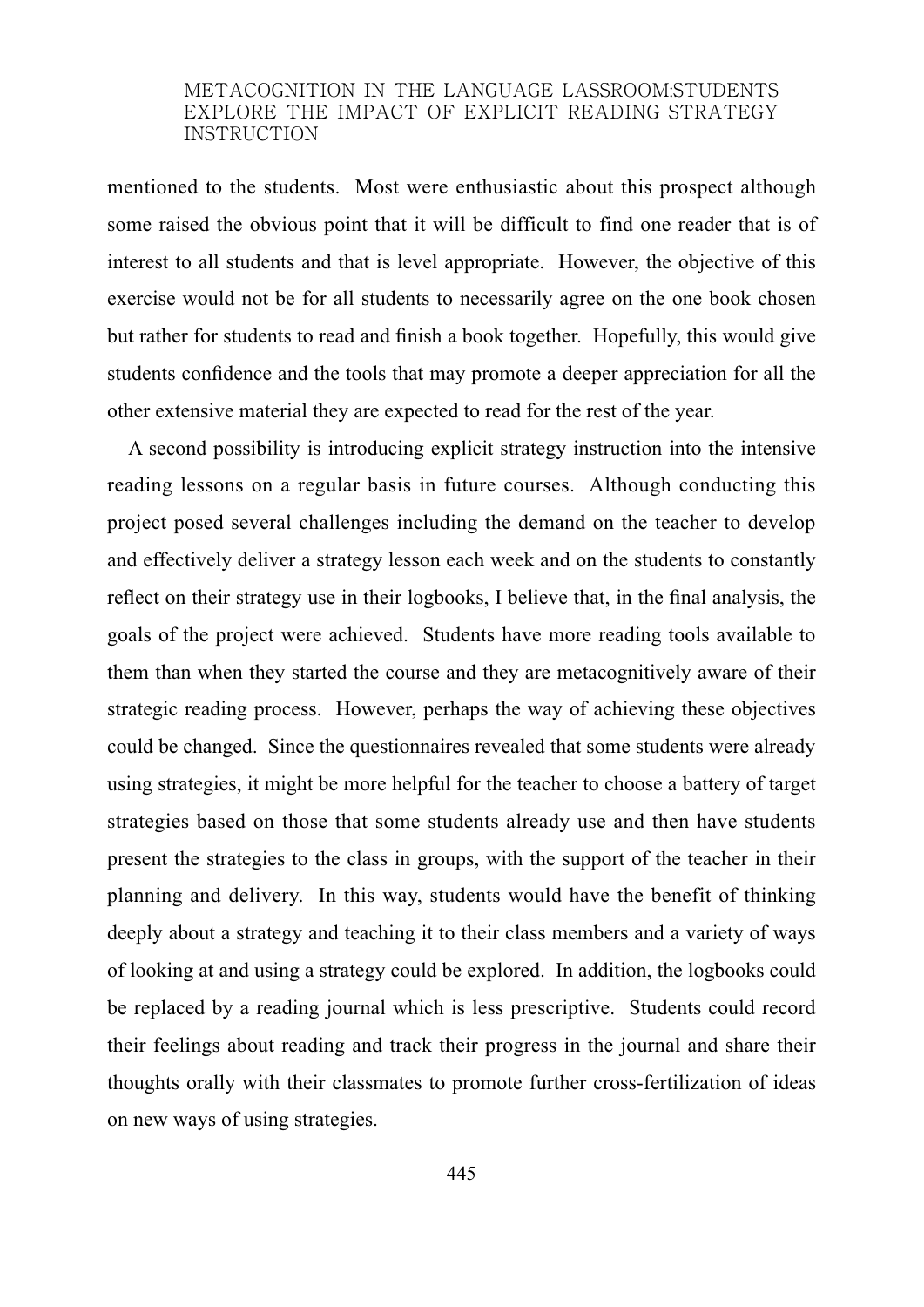mentioned to the students. Most were enthusiastic about this prospect although some raised the obvious point that it will be difficult to find one reader that is of interest to all students and that is level appropriate. However, the objective of this exercise would not be for all students to necessarily agree on the one book chosen but rather for students to read and finish a book together. Hopefully, this would give students confidence and the tools that may promote a deeper appreciation for all the other extensive material they are expected to read for the rest of the year.

A second possibility is introducing explicit strategy instruction into the intensive reading lessons on a regular basis in future courses. Although conducting this project posed several challenges including the demand on the teacher to develop and effectively deliver a strategy lesson each week and on the students to constantly reflect on their strategy use in their logbooks, I believe that, in the final analysis, the goals of the project were achieved. Students have more reading tools available to them than when they started the course and they are metacognitively aware of their strategic reading process. However, perhaps the way of achieving these objectives could be changed. Since the questionnaires revealed that some students were already using strategies, it might be more helpful for the teacher to choose a battery of target strategies based on those that some students already use and then have students present the strategies to the class in groups, with the support of the teacher in their planning and delivery. In this way, students would have the benefit of thinking deeply about a strategy and teaching it to their class members and a variety of ways of looking at and using a strategy could be explored. In addition, the logbooks could be replaced by a reading journal which is less prescriptive. Students could record their feelings about reading and track their progress in the journal and share their thoughts orally with their classmates to promote further cross-fertilization of ideas on new ways of using strategies.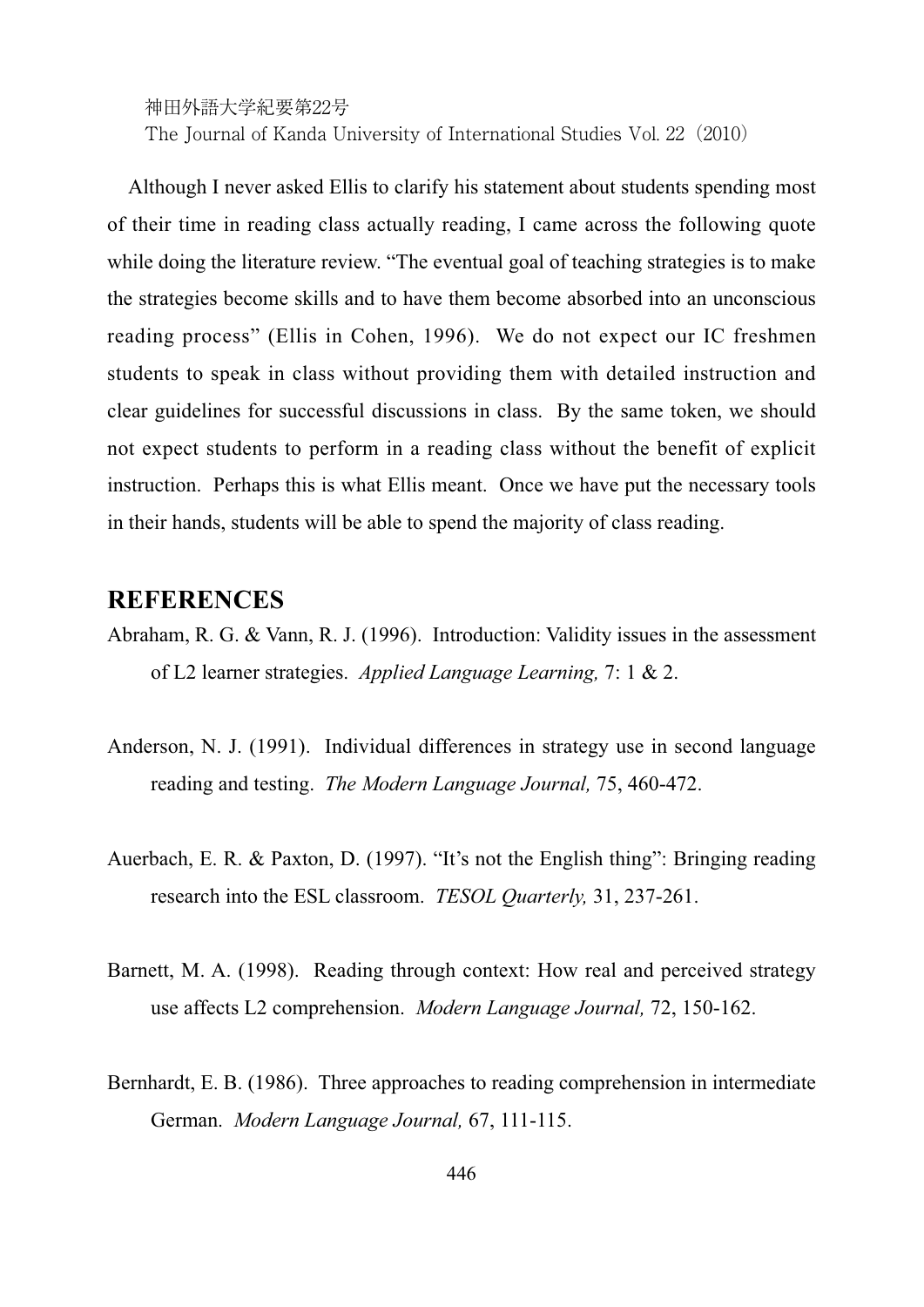Although I never asked Ellis to clarify his statement about students spending most of their time in reading class actually reading, I came across the following quote while doing the literature review. "The eventual goal of teaching strategies is to make the strategies become skills and to have them become absorbed into an unconscious reading process" (Ellis in Cohen, 1996). We do not expect our IC freshmen students to speak in class without providing them with detailed instruction and clear guidelines for successful discussions in class. By the same token, we should not expect students to perform in a reading class without the benefit of explicit instruction. Perhaps this is what Ellis meant. Once we have put the necessary tools in their hands, students will be able to spend the majority of class reading.

## **REFERENCES**

- Abraham, R. G. & Vann, R. J. (1996). Introduction: Validity issues in the assessment of L2 learner strategies. *Applied Language Learning,* 7: 1 & 2.
- Anderson, N. J. (1991). Individual differences in strategy use in second language reading and testing. *The Modern Language Journal,* 75, 460-472.
- Auerbach, E. R. & Paxton, D. (1997). "It's not the English thing": Bringing reading research into the ESL classroom. *TESOL Quarterly,* 31, 237-261.
- Barnett, M. A. (1998). Reading through context: How real and perceived strategy use affects L2 comprehension. *Modern Language Journal,* 72, 150-162.
- Bernhardt, E. B. (1986). Three approaches to reading comprehension in intermediate German. *Modern Language Journal,* 67, 111-115.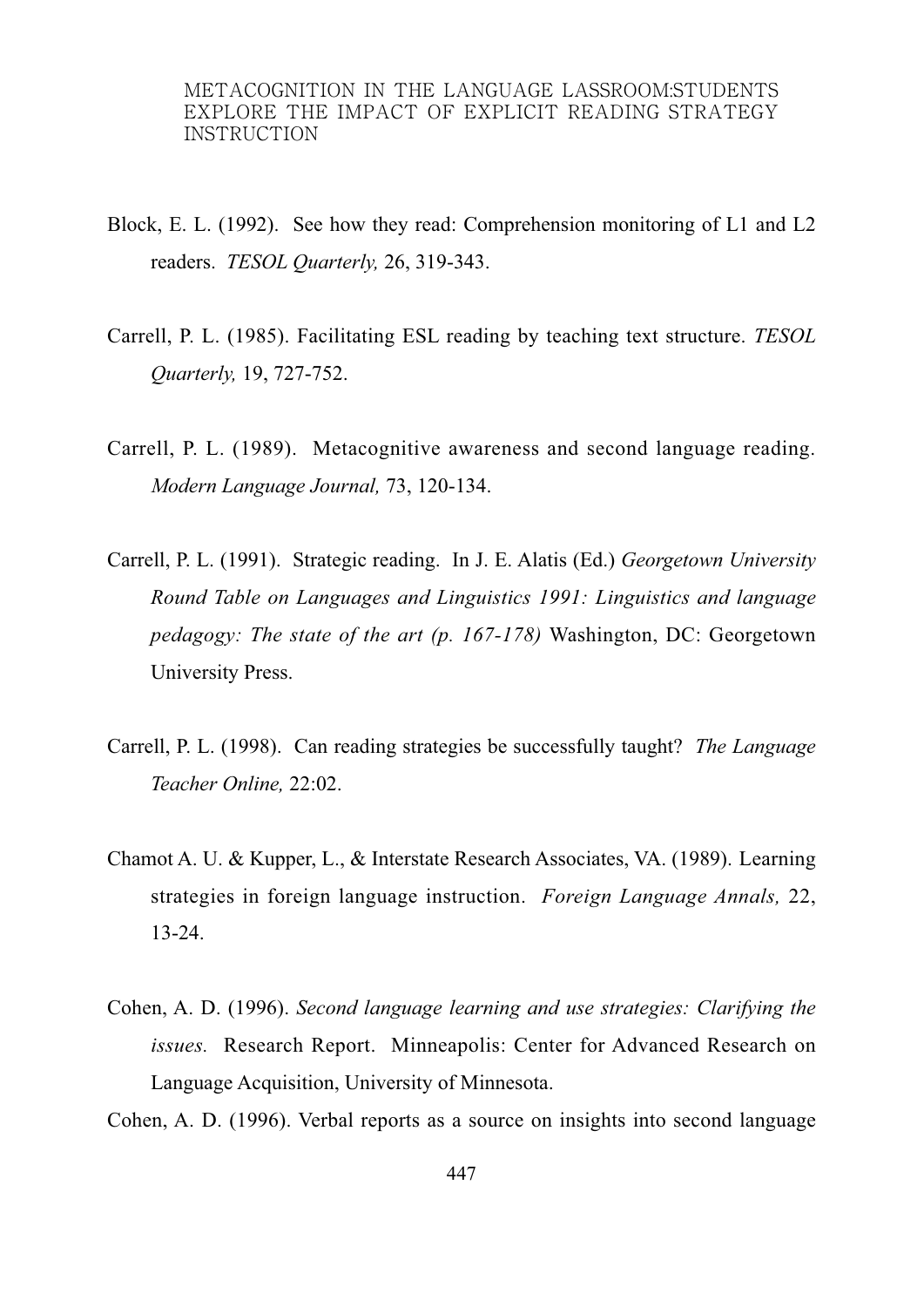- Block, E. L. (1992). See how they read: Comprehension monitoring of L1 and L2 readers. *TESOL Quarterly,* 26, 319-343.
- Carrell, P. L. (1985). Facilitating ESL reading by teaching text structure. *TESOL Quarterly,* 19, 727-752.
- Carrell, P. L. (1989). Metacognitive awareness and second language reading. *Modern Language Journal,* 73, 120-134.
- Carrell, P. L. (1991). Strategic reading. In J. E. Alatis (Ed.) *Georgetown University Round Table on Languages and Linguistics 1991: Linguistics and language pedagogy: The state of the art (p. 167-178)* Washington, DC: Georgetown University Press.
- Carrell, P. L. (1998). Can reading strategies be successfully taught? *The Language Teacher Online,* 22:02.
- Chamot A. U. & Kupper, L., & Interstate Research Associates, VA. (1989). Learning strategies in foreign language instruction. *Foreign Language Annals,* 22, 13-24.
- Cohen, A. D. (1996). *Second language learning and use strategies: Clarifying the*  issues. Research Report. Minneapolis: Center for Advanced Research on Language Acquisition, University of Minnesota.

Cohen, A. D. (1996). Verbal reports as a source on insights into second language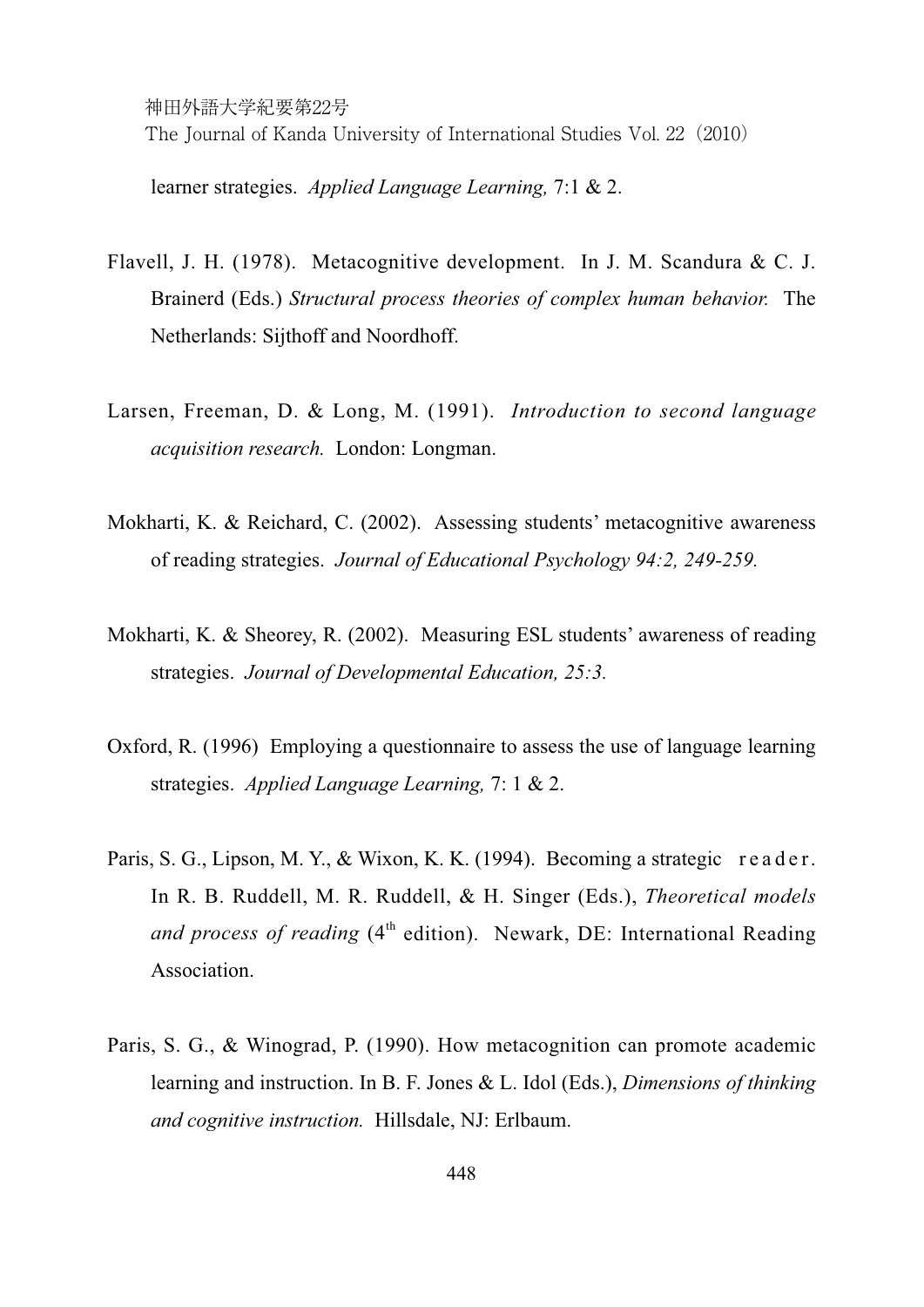learner strategies. *Applied Language Learning,* 7:1 & 2.

- Flavell, J. H. (1978). Metacognitive development. In J. M. Scandura & C. J. Brainerd (Eds.) *Structural process theories of complex human behavior.* The Netherlands: Sijthoff and Noordhoff.
- Larsen, Freeman, D. & Long, M. (1991). *Introduction to second language acquisition research.* London: Longman.
- Mokharti, K. & Reichard, C. (2002). Assessing students' metacognitive awareness of reading strategies. *Journal of Educational Psychology 94:2, 249-259.*
- Mokharti, K. & Sheorey, R. (2002). Measuring ESL students' awareness of reading strategies. *Journal of Developmental Education, 25:3.*
- Oxford, R. (1996) Employing a questionnaire to assess the use of language learning strategies. *Applied Language Learning,* 7: 1 & 2.
- Paris, S. G., Lipson, M. Y., & Wixon, K. K. (1994). Becoming a strategic reader. In R. B. Ruddell, M. R. Ruddell, & H. Singer (Eds.), *Theoretical models and process of reading* (4<sup>th</sup> edition). Newark, DE: International Reading Association.
- Paris, S. G., & Winograd, P. (1990). How metacognition can promote academic learning and instruction. In B. F. Jones & L. Idol (Eds.), *Dimensions of thinking and cognitive instruction.* Hillsdale, NJ: Erlbaum.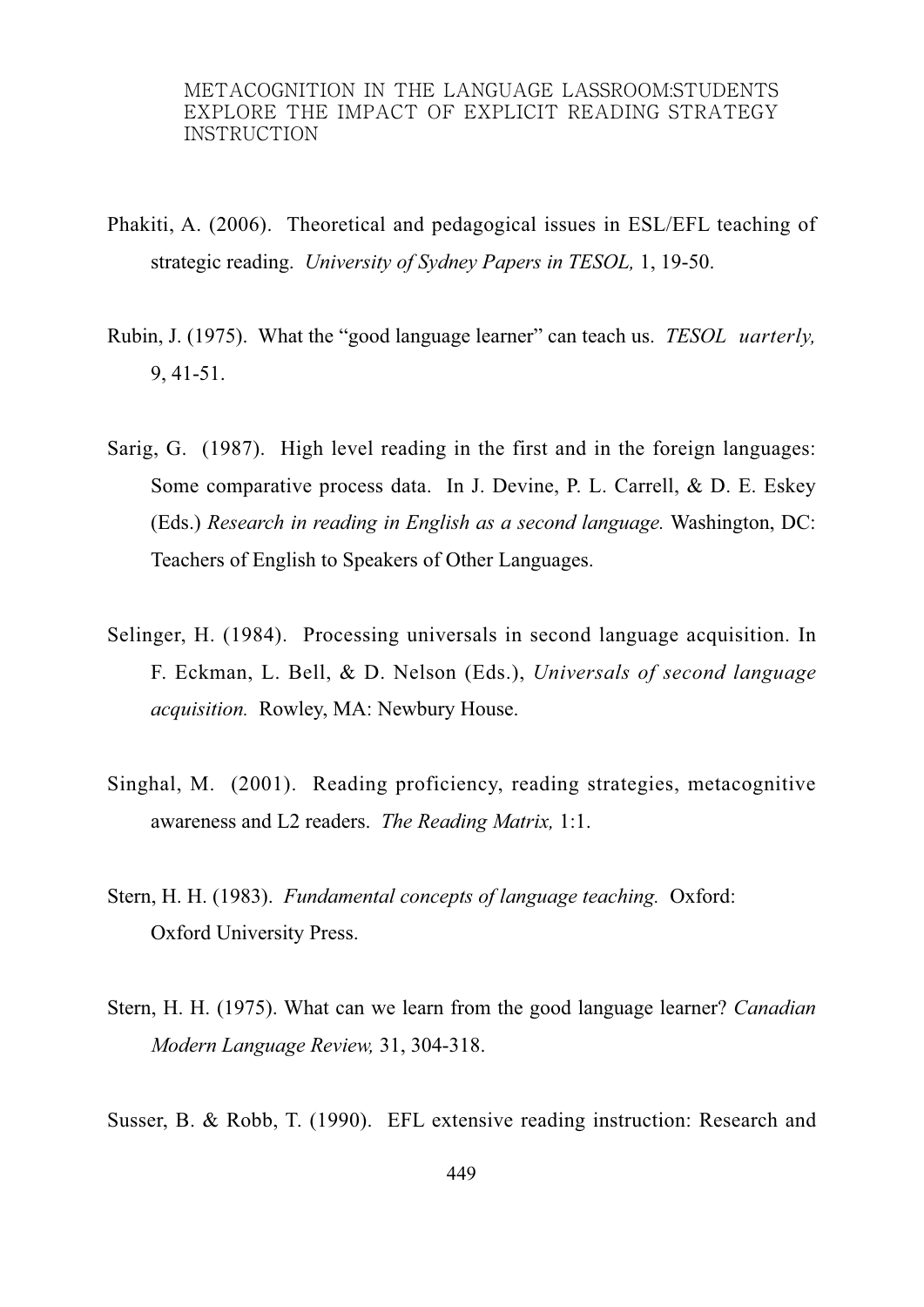- Phakiti, A. (2006). Theoretical and pedagogical issues in ESL/EFL teaching of strategic reading. *University of Sydney Papers in TESOL,* 1, 19-50.
- Rubin, J. (1975). What the "good language learner" can teach us. *TESOL uarterly,*  9, 41-51.
- Sarig, G. (1987). High level reading in the first and in the foreign languages: Some comparative process data. In J. Devine, P. L. Carrell, & D. E. Eskey (Eds.) *Research in reading in English as a second language.* Washington, DC: Teachers of English to Speakers of Other Languages.
- Selinger, H. (1984). Processing universals in second language acquisition. In F. Eckman, L. Bell, & D. Nelson (Eds.), *Universals of second language acquisition.* Rowley, MA: Newbury House.
- Singhal, M. (2001). Reading proficiency, reading strategies, metacognitive awareness and L2 readers. *The Reading Matrix,* 1:1.
- Stern, H. H. (1983). *Fundamental concepts of language teaching.* Oxford: Oxford University Press.
- Stern, H. H. (1975). What can we learn from the good language learner? *Canadian Modern Language Review,* 31, 304-318.

Susser, B. & Robb, T. (1990). EFL extensive reading instruction: Research and